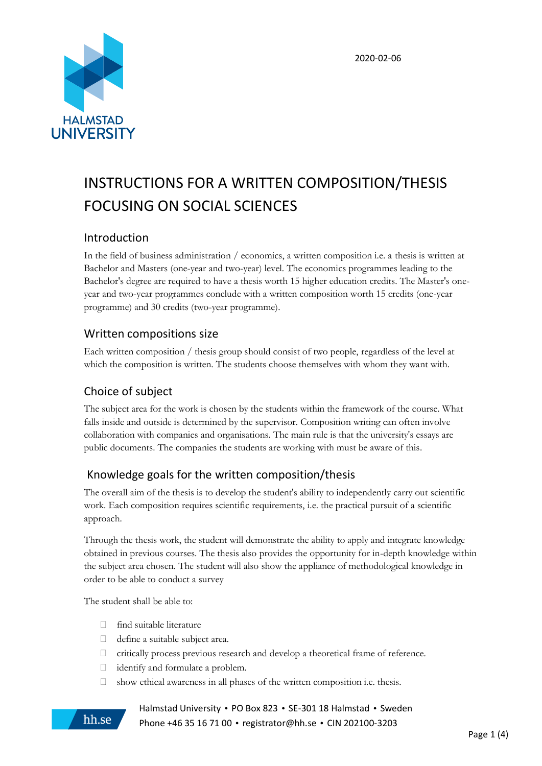

# INSTRUCTIONS FOR A WRITTEN COMPOSITION/THESIS FOCUSING ON SOCIAL SCIENCES

## Introduction

In the field of business administration / economics, a written composition i.e. a thesis is written at Bachelor and Masters (one-year and two-year) level. The economics programmes leading to the Bachelor's degree are required to have a thesis worth 15 higher education credits. The Master's oneyear and two-year programmes conclude with a written composition worth 15 credits (one-year programme) and 30 credits (two-year programme).

## Written compositions size

Each written composition / thesis group should consist of two people, regardless of the level at which the composition is written. The students choose themselves with whom they want with.

# Choice of subject

The subject area for the work is chosen by the students within the framework of the course. What falls inside and outside is determined by the supervisor. Composition writing can often involve collaboration with companies and organisations. The main rule is that the university's essays are public documents. The companies the students are working with must be aware of this.

# Knowledge goals for the written composition/thesis

The overall aim of the thesis is to develop the student's ability to independently carry out scientific work. Each composition requires scientific requirements, i.e. the practical pursuit of a scientific approach.

Through the thesis work, the student will demonstrate the ability to apply and integrate knowledge obtained in previous courses. The thesis also provides the opportunity for in-depth knowledge within the subject area chosen. The student will also show the appliance of methodological knowledge in order to be able to conduct a survey

The student shall be able to:

hh.se

- $\Box$  find suitable literature
- $\Box$  define a suitable subject area.
- critically process previous research and develop a theoretical frame of reference.
- identify and formulate a problem.
- $\Box$  show ethical awareness in all phases of the written composition i.e. thesis.

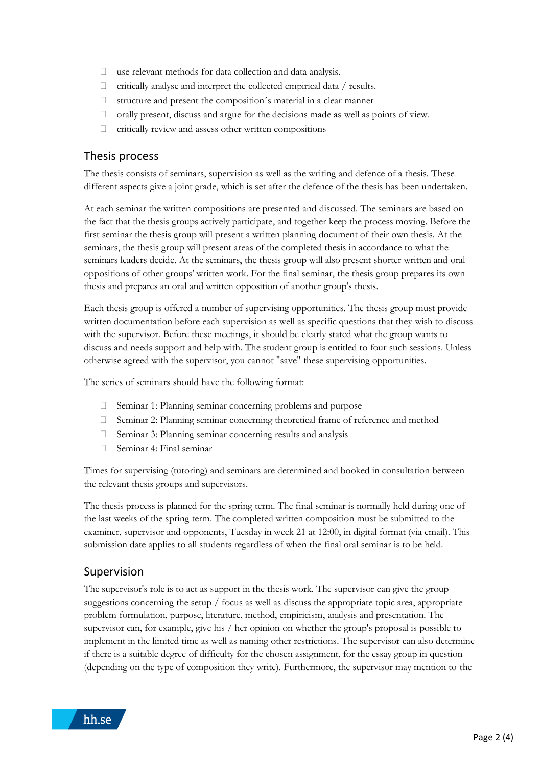- $\Box$  use relevant methods for data collection and data analysis.
- $\Box$  critically analyse and interpret the collected empirical data / results.
- $\Box$  structure and present the composition's material in a clear manner
- $\Box$  orally present, discuss and argue for the decisions made as well as points of view.
- critically review and assess other written compositions

#### Thesis process

The thesis consists of seminars, supervision as well as the writing and defence of a thesis. These different aspects give a joint grade, which is set after the defence of the thesis has been undertaken.

At each seminar the written compositions are presented and discussed. The seminars are based on the fact that the thesis groups actively participate, and together keep the process moving. Before the first seminar the thesis group will present a written planning document of their own thesis. At the seminars, the thesis group will present areas of the completed thesis in accordance to what the seminars leaders decide. At the seminars, the thesis group will also present shorter written and oral oppositions of other groups' written work. For the final seminar, the thesis group prepares its own thesis and prepares an oral and written opposition of another group's thesis.

Each thesis group is offered a number of supervising opportunities. The thesis group must provide written documentation before each supervision as well as specific questions that they wish to discuss with the supervisor. Before these meetings, it should be clearly stated what the group wants to discuss and needs support and help with. The student group is entitled to four such sessions. Unless otherwise agreed with the supervisor, you cannot "save" these supervising opportunities.

The series of seminars should have the following format:

- Seminar 1: Planning seminar concerning problems and purpose
- $\Box$  Seminar 2: Planning seminar concerning theoretical frame of reference and method
- $\Box$  Seminar 3: Planning seminar concerning results and analysis
- Seminar 4: Final seminar

Times for supervising (tutoring) and seminars are determined and booked in consultation between the relevant thesis groups and supervisors.

The thesis process is planned for the spring term. The final seminar is normally held during one of the last weeks of the spring term. The completed written composition must be submitted to the examiner, supervisor and opponents, Tuesday in week 21 at 12:00, in digital format (via email). This submission date applies to all students regardless of when the final oral seminar is to be held.

#### Supervision

The supervisor's role is to act as support in the thesis work. The supervisor can give the group suggestions concerning the setup / focus as well as discuss the appropriate topic area, appropriate problem formulation, purpose, literature, method, empiricism, analysis and presentation. The supervisor can, for example, give his / her opinion on whether the group's proposal is possible to implement in the limited time as well as naming other restrictions. The supervisor can also determine if there is a suitable degree of difficulty for the chosen assignment, for the essay group in question (depending on the type of composition they write). Furthermore, the supervisor may mention to the

hh.se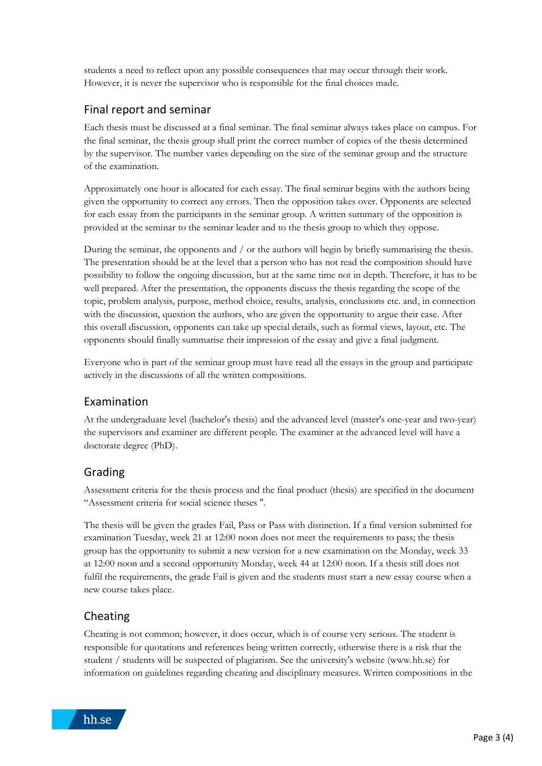students a need to reflect upon any possible consequences that may occur through their work. However, it is never the supervisor who is responsible for the final choices made.

#### Final report and seminar

Each thesis must be discussed at a final seminar. The final seminar always takes place on campus. For the final seminar, the thesis group shall print the correct number of copies of the thesis determined by the supervisor. The number varies depending on the size of the seminar group and the structure of the examination.

Approximately one hour is allocated for each essay. The final seminar begins with the authors being given the opportunity to correct any errors. Then the opposition takes over. Opponents are selected for each essay from the participants in the seminar group. A written summary of the opposition is provided at the seminar to the seminar leader and to the thesis group to which they oppose.

During the seminar, the opponents and / or the authors will begin by briefly summarising the thesis. The presentation should be at the level that a person who has not read the composition should have possibility to follow the ongoing discussion, but at the same time not in depth. Therefore, it has to be well prepared. After the presentation, the opponents discuss the thesis regarding the scope of the topic, problem analysis, purpose, method choice, results, analysis, conclusions etc. and, in connection with the discussion, question the authors, who are given the opportunity to argue their case. After this overall discussion, opponents can take up special details, such as formal views, layout, etc. The opponents should finally summarise their impression of the essay and give a final judgment.

Everyone who is part of the seminar group must have read all the essays in the group and participate actively in the discussions of all the written compositions.

## Examination

At the undergraduate level (bachelor's thesis) and the advanced level (master's one-year and two-year) the supervisors and examiner are different people. The examiner at the advanced level will have a doctorate degree (PhD).

## Grading

Assessment criteria for the thesis process and the final product (thesis) are specified in the document "Assessment criteria for social science theses ''.

The thesis will be given the grades Fail, Pass or Pass with distinction. If a final version submitted for examination Tuesday, week 21 at 12:00 noon does not meet the requirements to pass; the thesis group has the opportunity to submit a new version for a new examination on the Monday, week 33 at 12:00 noon and a second opportunity Monday, week 44 at 12:00 noon. If a thesis still does not fulfil the requirements, the grade Fail is given and the students must start a new essay course when a new course takes place.

## Cheating

Cheating is not common; however, it does occur, which is of course very serious. The student is responsible for quotations and references being written correctly, otherwise there is a risk that the student / students will be suspected of plagiarism. See the university's website (www.hh.se) for information on guidelines regarding cheating and disciplinary measures. Written compositions in the